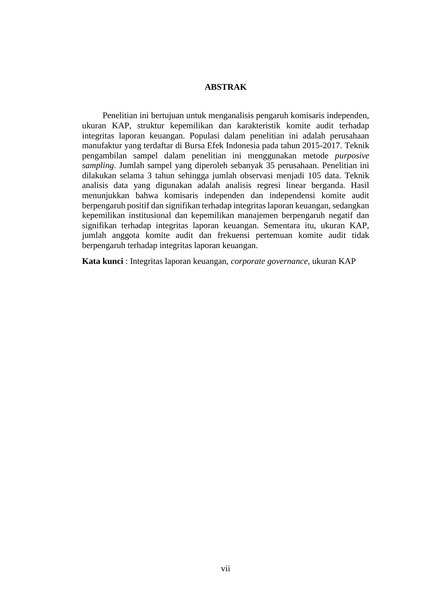## **ABSTRAK**

Penelitian ini bertujuan untuk menganalisis pengaruh komisaris independen, ukuran KAP, struktur kepemilikan dan karakteristik komite audit terhadap integritas laporan keuangan. Populasi dalam penelitian ini adalah perusahaan manufaktur yang terdaftar di Bursa Efek Indonesia pada tahun 2015-2017. Teknik pengambilan sampel dalam penelitian ini menggunakan metode *purposive sampling*. Jumlah sampel yang diperoleh sebanyak 35 perusahaan. Penelitian ini dilakukan selama 3 tahun sehingga jumlah observasi menjadi 105 data. Teknik analisis data yang digunakan adalah analisis regresi linear berganda. Hasil menunjukkan bahwa komisaris independen dan independensi komite audit berpengaruh positif dan signifikan terhadap integritas laporan keuangan, sedangkan kepemilikan institusional dan kepemilikan manajemen berpengaruh negatif dan signifikan terhadap integritas laporan keuangan. Sementara itu, ukuran KAP, jumlah anggota komite audit dan frekuensi pertemuan komite audit tidak berpengaruh terhadap integritas laporan keuangan.

**Kata kunci** : Integritas laporan keuangan, *corporate governance*, ukuran KAP